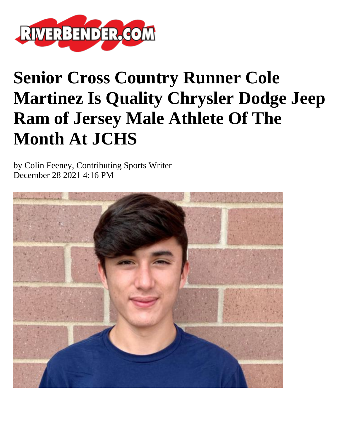

## **Senior Cross Country Runner Cole Martinez Is Quality Chrysler Dodge Jeep Ram of Jersey Male Athlete Of The Month At JCHS**

by Colin Feeney, Contributing Sports Writer December 28 2021 4:16 PM

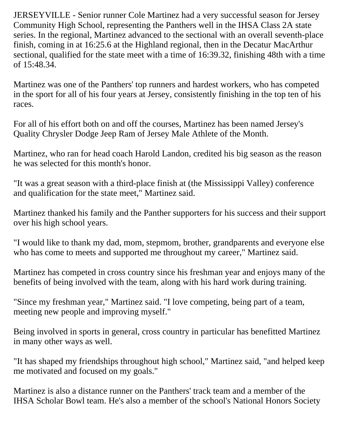JERSEYVILLE - Senior runner Cole Martinez had a very successful season for Jersey Community High School, representing the Panthers well in the IHSA Class 2A state series. In the regional, Martinez advanced to the sectional with an overall seventh-place finish, coming in at 16:25.6 at the Highland regional, then in the Decatur MacArthur sectional, qualified for the state meet with a time of 16:39.32, finishing 48th with a time of 15:48.34.

Martinez was one of the Panthers' top runners and hardest workers, who has competed in the sport for all of his four years at Jersey, consistently finishing in the top ten of his races.

For all of his effort both on and off the courses, Martinez has been named Jersey's Quality Chrysler Dodge Jeep Ram of Jersey Male Athlete of the Month.

Martinez, who ran for head coach Harold Landon, credited his big season as the reason he was selected for this month's honor.

"It was a great season with a third-place finish at (the Mississippi Valley) conference and qualification for the state meet," Martinez said.

Martinez thanked his family and the Panther supporters for his success and their support over his high school years.

"I would like to thank my dad, mom, stepmom, brother, grandparents and everyone else who has come to meets and supported me throughout my career," Martinez said.

Martinez has competed in cross country since his freshman year and enjoys many of the benefits of being involved with the team, along with his hard work during training.

"Since my freshman year," Martinez said. "I love competing, being part of a team, meeting new people and improving myself."

Being involved in sports in general, cross country in particular has benefitted Martinez in many other ways as well.

"It has shaped my friendships throughout high school," Martinez said, "and helped keep me motivated and focused on my goals."

Martinez is also a distance runner on the Panthers' track team and a member of the IHSA Scholar Bowl team. He's also a member of the school's National Honors Society